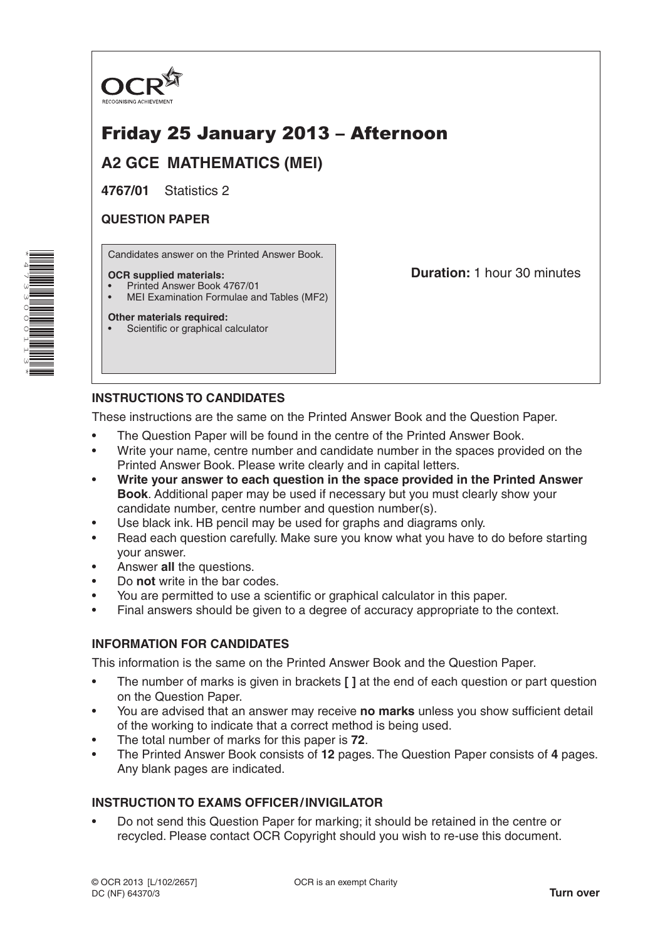

# Friday 25 January 2013 – Afternoon

**A2 GCE MATHEMATICS (MEI)**

**4767/01** Statistics 2

# **QUESTION PAPER**

Candidates answer on the Printed Answer Book.

#### **OCR supplied materials:**

- Printed Answer Book 4767/01
- MEI Examination Formulae and Tables (MF2)

#### **Other materials required:**

Scientific or graphical calculator

**Duration:** 1 hour 30 minutes

# **INSTRUCTIONS TO CANDIDATES**

These instructions are the same on the Printed Answer Book and the Question Paper.

- The Question Paper will be found in the centre of the Printed Answer Book.
- Write your name, centre number and candidate number in the spaces provided on the Printed Answer Book. Please write clearly and in capital letters.
- **Write your answer to each question in the space provided in the Printed Answer Book**. Additional paper may be used if necessary but you must clearly show your candidate number, centre number and question number(s).
- Use black ink. HB pencil may be used for graphs and diagrams only.
- Read each question carefully. Make sure you know what you have to do before starting your answer.
- Answer **all** the questions.
- Do **not** write in the bar codes.
- You are permitted to use a scientific or graphical calculator in this paper.
- Final answers should be given to a degree of accuracy appropriate to the context.

# **INFORMATION FOR CANDIDATES**

This information is the same on the Printed Answer Book and the Question Paper.

- The number of marks is given in brackets **[ ]** at the end of each question or part question on the Question Paper.
- You are advised that an answer may receive **no marks** unless you show sufficient detail of the working to indicate that a correct method is being used.
- The total number of marks for this paper is **72**.
- The Printed Answer Book consists of **12** pages. The Question Paper consists of **4** pages. Any blank pages are indicated.

# **INSTRUCTION TO EXAMS OFFICER/INVIGILATOR**

• Do not send this Question Paper for marking; it should be retained in the centre or recycled. Please contact OCR Copyright should you wish to re-use this document.

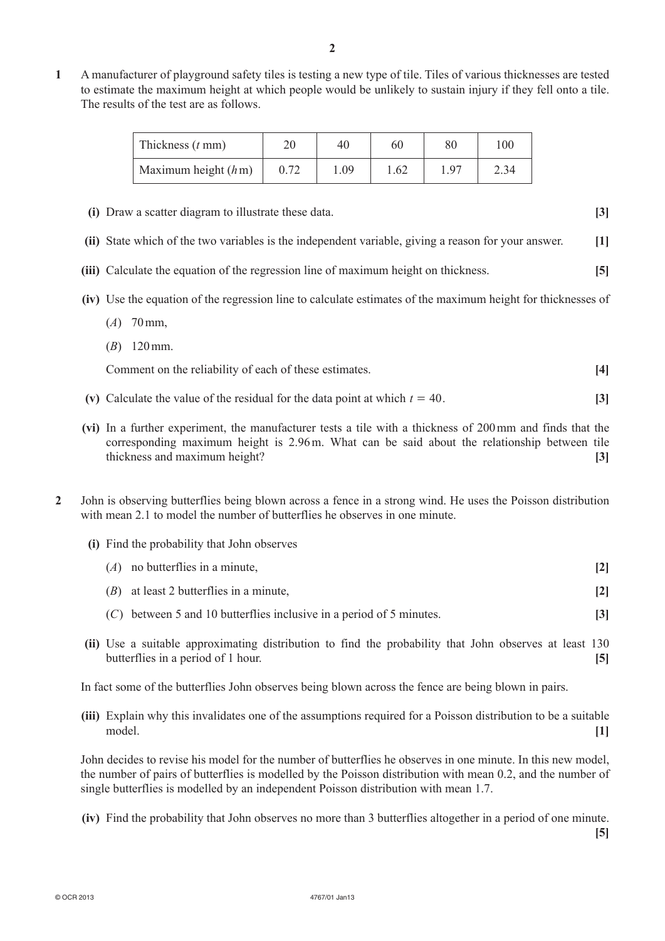**1**  A manufacturer of playground safety tiles is testing a new type of tile. Tiles of various thicknesses are tested to estimate the maximum height at which people would be unlikely to sustain injury if they fell onto a tile. The results of the test are as follows.

| Thickness $(t \text{ mm})$ | 20   | 40   | 60   | 80         | 100  |
|----------------------------|------|------|------|------------|------|
| Maximum height $(hm)$      | 0.72 | 0.09 | 1.62 | $\sqrt{9}$ | 2.34 |

- **(i)** Draw a scatter diagram to illustrate these data. **[3]**
- **(ii)** State which of the two variables is the independent variable, giving a reason for your answer. **[1]**
- **(iii)** Calculate the equation of the regression line of maximum height on thickness. **[5]**
- **(iv)** Use the equation of the regression line to calculate estimates of the maximum height for thicknesses of
	- $(A)$  70 mm,
	- $(B)$  120 mm.

**Comment on the reliability of each of these estimates.** [4]

- **(v)** Calculate the value of the residual for the data point at which  $t = 40$ . [3]
- **(vi)** In a further experiment, the manufacturer tests a tile with a thickness of 200 mm and finds that the corresponding maximum height is 2.96m. What can be said about the relationship between tile thickness and maximum height? **[3]**
- **2**  John is observing butterflies being blown across a fence in a strong wind. He uses the Poisson distribution with mean 2.1 to model the number of butterflies he observes in one minute.
	- **(i)**  Find the probability that John observes

| $(A)$ no butterflies in a minute,         |  |
|-------------------------------------------|--|
| $(B)$ at least 2 butterflies in a minute, |  |

- (*C*) between 5 and 10 butterflies inclusive in a period of 5 minutes. **[3]**
- **(ii)** Use a suitable approximating distribution to find the probability that John observes at least 130 butterflies in a period of 1 hour. **[5]**

In fact some of the butterflies John observes being blown across the fence are being blown in pairs.

**(iii)** Explain why this invalidates one of the assumptions required for a Poisson distribution to be a suitable model. **[1]**

John decides to revise his model for the number of butterflies he observes in one minute. In this new model, the number of pairs of butterflies is modelled by the Poisson distribution with mean 0.2, and the number of single butterflies is modelled by an independent Poisson distribution with mean 1.7.

**(iv)** Find the probability that John observes no more than 3 butterflies altogether in a period of one minute.

**[5]**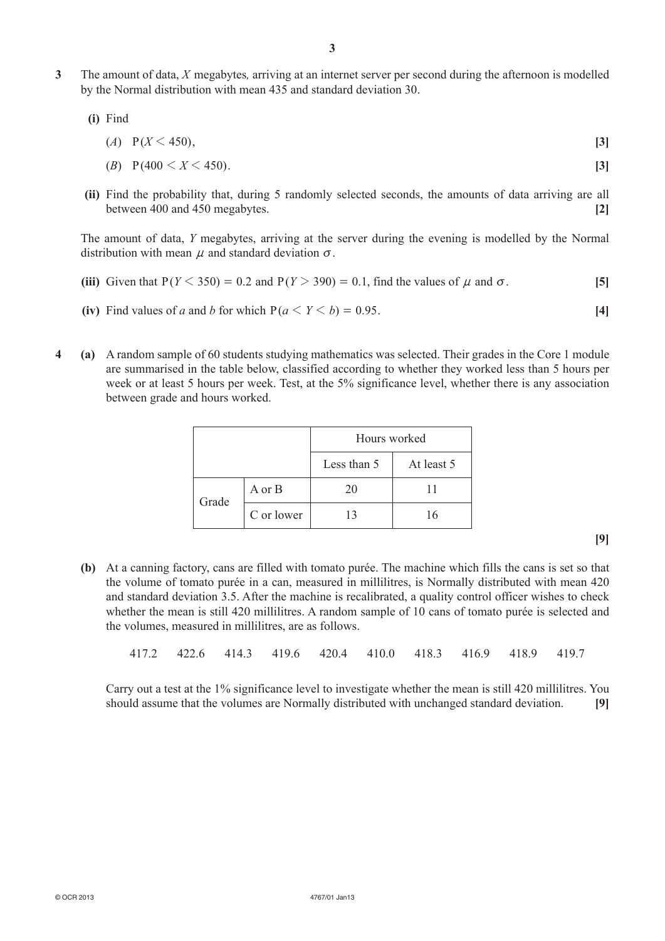**3**  The amount of data, *X* megabytes*,* arriving at an internet server per second during the afternoon is modelled by the Normal distribution with mean 435 and standard deviation 30.

 **(i)**  Find

$$
(A) \quad P(X < 450), \tag{3}
$$

$$
(B) \quad P(400 < X < 450). \tag{3}
$$

**(ii)** Find the probability that, during 5 randomly selected seconds, the amounts of data arriving are all between 400 and 450 megabytes. **[2]**

The amount of data, *Y* megabytes, arriving at the server during the evening is modelled by the Normal distribution with mean  $\mu$  and standard deviation  $\sigma$ .

- **(iii)** Given that  $P(Y \le 350) = 0.2$  and  $P(Y \ge 390) = 0.1$ , find the values of  $\mu$  and  $\sigma$ . [5]
- **(iv)** Find values of *a* and *b* for which  $P(a \le Y \le b) = 0.95$ . [4]
- **4 (a)**  A random sample of 60 students studying mathematics was selected. Their grades in the Core 1 module are summarised in the table below, classified according to whether they worked less than 5 hours per week or at least 5 hours per week. Test, at the 5% significance level, whether there is any association between grade and hours worked.

|       |            | Hours worked |            |  |
|-------|------------|--------------|------------|--|
|       |            | Less than 5  | At least 5 |  |
| Grade | A or B     | 20           |            |  |
|       | C or lower | 13           | 16         |  |

**[9]**

**(b)** At a canning factory, cans are filled with tomato purée. The machine which fills the cans is set so that the volume of tomato purée in a can, measured in millilitres, is Normally distributed with mean 420 and standard deviation 3.5. After the machine is recalibrated, a quality control officer wishes to check whether the mean is still 420 millilitres. A random sample of 10 cans of tomato purée is selected and the volumes, measured in millilitres, are as follows.

417.2 422.6 414.3 419.6 420.4 410.0 418.3 416.9 418.9 419.7

Carry out a test at the 1% significance level to investigate whether the mean is still 420 millilitres. You should assume that the volumes are Normally distributed with unchanged standard deviation. **[9]**